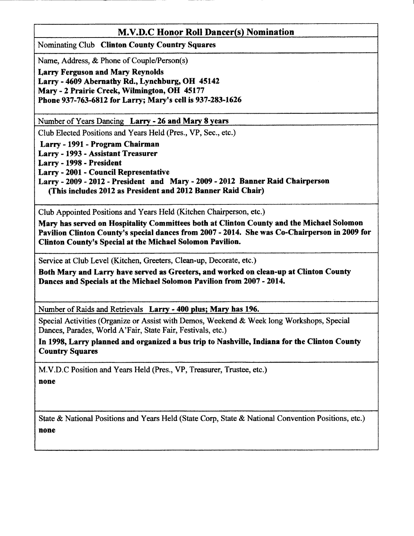## M.V.D.C Honor Roll Dancer(s) Nomination

Nominating Club Clinton County Country Squares

Name, Address, & Phone of Couple/Person(s)

Larry Ferguson and Mary Reynolds Larry - 4609 Abernathy Rd., Lynchburg, OH 45142 Mary - 2 Prairie Creek, Wilmington, OH 45177 Phone 937-763-6812 for Larry; Mary's cell is 937-283-1626

Number of Years Dancing Larry - 26 and Mary 8 years

Club Elected Positions and Years Held (Pres., VP, Sec., etc.)

Larry - 1991- Program Chairman

Larry - 1993 - Assistant Treasurer

Larry - 1998 - President

Larry - 2001 - Council Representative

Larry - 2009 - 2012 - President and Mary - 2009 - 2012 Banner Raid Chairperson (This includes 2012 as President and 2012 Banner Raid Chair)

Club Appointed Positions and Years Held (Kitchen Chairperson, etc.)

Mary has serred on Hospitality Comnittees both at Clinton County and the Michael Solomon Pavilion Clinton County's epecial dances from 2007 - 2014. She was Co-Chairperson in 2009 for Clinton County's Special at the Michael Solomon Pavilion.

Service at Club Level (Kitchen, Greeters, Clean-up, Decorate, etc.)

Both Mary and Larry have served as Greeters, end worked on clean-up at Clinton County Dances and Specials at the Michael Solomon Pavilion from 2007 - 2014.

Number of Raids and Retrievals Larrv - 400 plus: Marv has 196.

Special Activities (Organize or Assist with Demos, Weekend & Week long Workshops, Special Dances, Parades, World A'Fair, State Fair, Festivals, etc.)

In 1998, Larry planned and organized a bus trip to Nashville, Indiana for the Clinton County Country Squares

M.V.D.C Position and Years Held (Pres., VP, Treasurer, Trustee, etc.) none

State & National Positions and Years Held (State Corp, State & National Convention Positions, etc.) none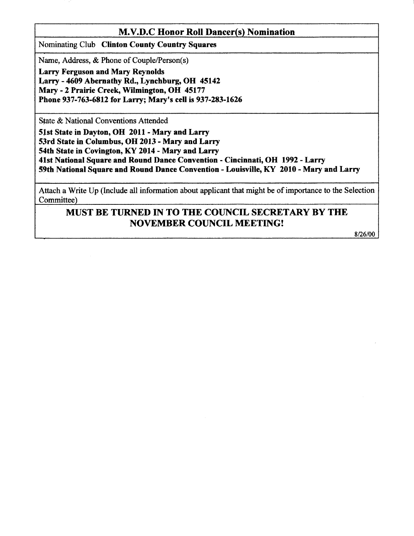### M.V.I).C Honor Roll Dancer{s) Nomination

Nominating Club Clinton County Country Squares

Name, Address, & Phone of Couple/Person(s)

Larry Ferguson and Mary Reynolds Larry - 4609 Abernathy Rd., Lynchburg, OH 45142 Mary - 2 Prairie Creek, Wilmington, OH 45177 Phone 937-763-6812 for Larry; Mary's cell is 937-283-1626

State & National Conventions Attended

Slst State in Dayton, OH 2011 - Mary and Larry 53rd State in Columbus, OH 2013 - Mary and Larry 54th State in Covington, KY 2014 - Mary and Larry 41st National Square and Round Dance Convention - Cincinnati, OH 1992 - Larry 59th National Square and Round Dance Convention - Louisville, KY 2010 - Mary and Larry

Attach a Write Up (Include all information about applicant that might be of importance to the Selection Committee)

# MUST BE TURNED IN TO THE COUNCIL SECRETARY BY THE NOVEMBER COUNCIL MEETING!

8/26/00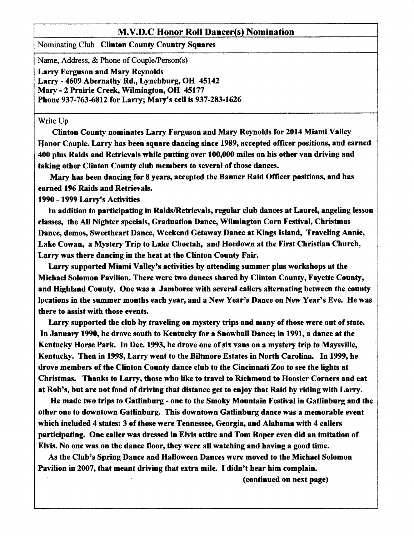### M.V.D.C Honor Roll Dancer(s) Nomination

Nominating Club Clinton County Country Squares

Name, Address, & Phone of Couple/Person(s)

Larry Ferguson and Mary Reynolds Larry - 4609 Abernathy Rd., Lynchburg, OH 45142 Mary - 2 Prairie Creek, Wilmington, OH 45177 Phone 937-763-6812 for Larry; Mary's cell is 937-283-1626

#### Write Up

Clinton County nominates Larry Ferguson and Mary Reynolds for 2014 Miami Valley Honor Couple. Larry has been square dancing since 1989, accepted officer positions, and earned 400 plus Raids and Retrievals while putting over 100,000 miles on his other van driving and taking other Clinton County club members to several of those dances.

Mary has been dancing for 8 years, accepted the Banner Raid Officer positions, and has parned 196 Raids and Retrievals.

1990 - 1999 Larry's Activities

In addition to participating in Raids/Retrievals, regular club dances at Laurel, angeling lesson classes, the All Nighter specials, Graduation Dance, Wilmington Corn Festival, Christmas Dance, demos, Sweetheart Dance, Weekend Getaway Dance at Kings Island, Traveling Annie, Lake Cowan, a Mystery Trip to Lake Choctah, and Hoedown at the First Christian Church, Larry was there dancing in the heat at the Clinton County Fair.

Larry supported Miami Valley's activities by attending summer plus workshops at the Michael Solomon Pavilion. There were two dances shared by Clinton County, Fayette County, and Highland County. One was a Jamboree with several callers alternating between the county locations in the summer months each year, and a New Year's Dance on New Year's Eve. He was there to assist with those events.

Larry supported the club by traveling on mystery trips and many of those were out of state. In January 1990, he drove south to Kentucky for a Snowball Dance; in 1991, a dance at the Kentucky Horse Park. In Dec. 1993, he drove one of six vans on a mystery trip to Maysville, Kentucky. Then in 1998, Larry went to the Biltmore Estates in North Carolina. In 1999, he drove members of the Clinton County dance club to the Cincinnati Zoo to see the lights at Christmes. Thanks to Larry, those who like to travel to Richmond to Hoosier Corners and eat af Rob's, but are not fond of driving that distance get to enjoy that Raid by ridingwith Larry.

He made two trips to Gatlinburg - one to the Smoky Mountain Festival in Gatlinburg and the other one to downtown Gatlinburg. This downtown Gatlinburg dance was a memorable event which included 4 states: 3 of those were Tennessee, Georgia, and Alabama with 4 callers participating. One caller was dressed in Elvis attire and Tom Roper even did an imitation of Elvis. No one was on the dance floor, they were all watching and having a good time.

As the Club's Spring Dance and Halloween Dances were moved to the Michael Solomon Pavilion in 2007, that meant driving that extra mile. I didn't hear him complain.

(continued on next page)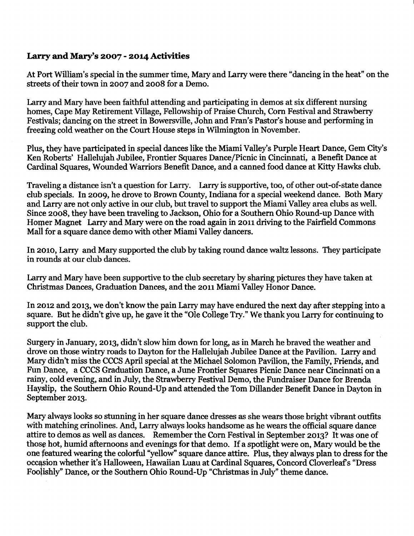## Larry and Mary's 2007 - 2014 Activities

At Port William's special in the summer time, Mary and Larry were there "dancing in the heat" on the streets of their town in 2007 and 2008 for a Demo.

Larry and Mary have been taithful attending and participating in demos at six different nursing homes, Cape May Retirement Village, Fellowship of Praise Church, Corn Festival and Strawberry Festivals; dancing on the street in Bowersville, John and Fran's Pastor's house and performing in freezing cold weather on the Court House steps in Wilmington in November.

Plus, they have participated in special dances like the Miami Valley's Furple Heart Dance, Gem City's Ken Roberts' Hallelujah Jubilee, Frontier Squares Dance/Picnic in Cincinnati, a Benefit Dance at Cardinal Squares, Wounded Warriors Benefit Dance, and a canned food dance at Kitty Hawks club.

Traveling a distance isn't a question for Larry. Larry is supportive, too, of other out-of-state dance club specials. In 2oog, he drove to Brown County, Indiana for a special weekend dance. Both Mary and Larry are not only active in our club, but travel to support the Miami Valley area clubs as well. Since 2oo8, they have been traveling to Jackson, Ohio for a Southern Ohio Round-up Dance with Homer Magnet Larry and Mary were on the road again in 2011 driving to the Fairfield Commons Mall for a square dance demo with other Miami Valley dancers.

In zoto, Larry and Mary supported the club by taking round dance waltz lessons. They participate in rounds at our club dances.

Larry and Mary have been supportive to the club secretary by sharing pictures they have taken at Christmas Dances, Graduation Dances, and the 2011 Miami Valley Honor Dance.

In 2012 and 2013, we don't know the pain Larry may have endured the next day after stepping into a square. But he didn't give up, he gave it the "Ole College Try." We thank you larry for continuing to support the club.

Surgery in January, 2013, didn't slow him down for long, as in March he braved the weather and drove on those wintry roads to Dayton for the Hallelujah Jubilee Dance at the Pavilion. Larry and Mary didn't miss the CCCS April special at the Michael Solomon Pavilion, the Family, Friends, and Fun Dance, a CCCS Graduation Dance, a June Frontier Squares Picnic Dance near Cincinnati on a rainy, cold evening, and in July, the Strawberry Festival Demo, the Fundraiser Dance for Brenda Hayslip, the Southern Ohio Round-Up and attended the Tom Dillander Benefit Dance in Dayton in September 2013.

Mary always looks so stunning in her square dance dresses as she wears those bright vibrant outfits with matching crinolines. And, Larry always looks handsome as he wears the official square dance attire to demos as well as dances. Remember the Corn Festival in September 2013? It was one of those hot, humid afternoons and evenings for that demo. If a spotlight were on, Mary would be the one feafured wearing the colorful'yellow" square dance attire. Plus, they always plan to dress for the occasion whether it's Halloween, Hawaiian Luau at Cardinal Squares, Concord Cloverleaf's "Dress Foolishly" Dance, or the Southern Ohio Round-Up "Christmas in July" theme dance.